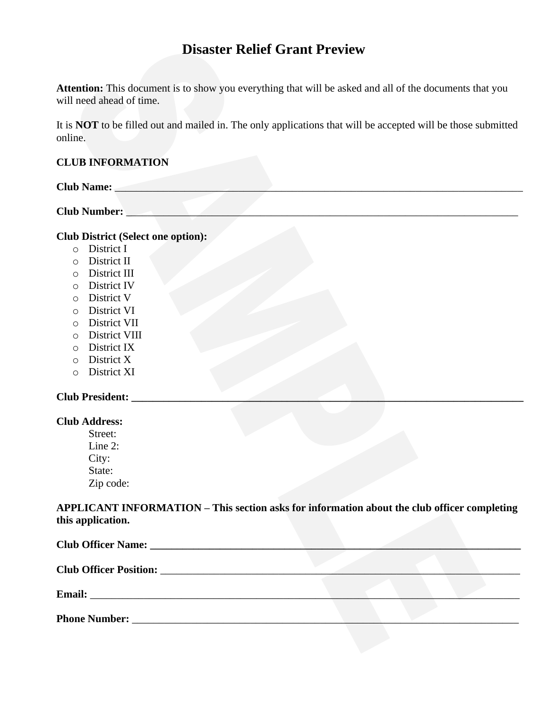# **Disaster Relief Grant Preview**

**Attention:** This document is to show you everything that will be asked and all of the documents that you will need ahead of time.

It is **NOT** to be filled out and mailed in. The only applications that will be accepted will be those submitted online.

## **CLUB INFORMATION**

| $\mathbf C$ luh N<br>$\sim$ $\pm$ volled $\sim$ |  |  |
|-------------------------------------------------|--|--|
|                                                 |  |  |

**Club Number:** \_\_\_\_\_\_\_\_\_\_\_\_\_\_\_\_\_\_\_\_\_\_\_\_\_\_\_\_\_\_\_\_\_\_\_\_\_\_\_\_\_\_\_\_\_\_\_\_\_\_\_\_\_\_\_\_\_\_\_\_\_\_\_\_\_\_\_\_\_\_\_\_\_

# **Club District (Select one option):**

- o District I
- o District II
- o District III
- o District IV
- o District V
- o District VI
- o District VII
- o District VIII
- o District IX
- o District X
- o District XI

#### **Club President: \_\_\_\_\_\_\_\_\_\_\_\_\_\_\_\_\_\_\_\_\_\_\_\_\_\_\_\_\_\_\_\_\_\_\_\_\_\_\_\_\_\_\_\_\_\_\_\_\_\_\_\_\_\_\_\_\_\_\_\_\_\_\_\_\_\_\_\_\_\_\_\_\_**

#### **Club Address:**

Street: Line 2: City: State: Zip code:

**APPLICANT INFORMATION – This section asks for information about the club officer completing this application.**

| Club Officer Name: 2008. [19] Daniel Manner Manner Manner Manner Manner Manner Manner Manner Manner Manner Manner Manner Manner Manner Manner Manner Manner Manner Manner Manner Manner Manner Manner Manner Manner Manner Man |  |  |  |
|--------------------------------------------------------------------------------------------------------------------------------------------------------------------------------------------------------------------------------|--|--|--|
|                                                                                                                                                                                                                                |  |  |  |
| <b>Email:</b><br>the contract of the contract of the contract of the contract of the contract of the contract of the                                                                                                           |  |  |  |
| <b>Phone Number:</b>                                                                                                                                                                                                           |  |  |  |